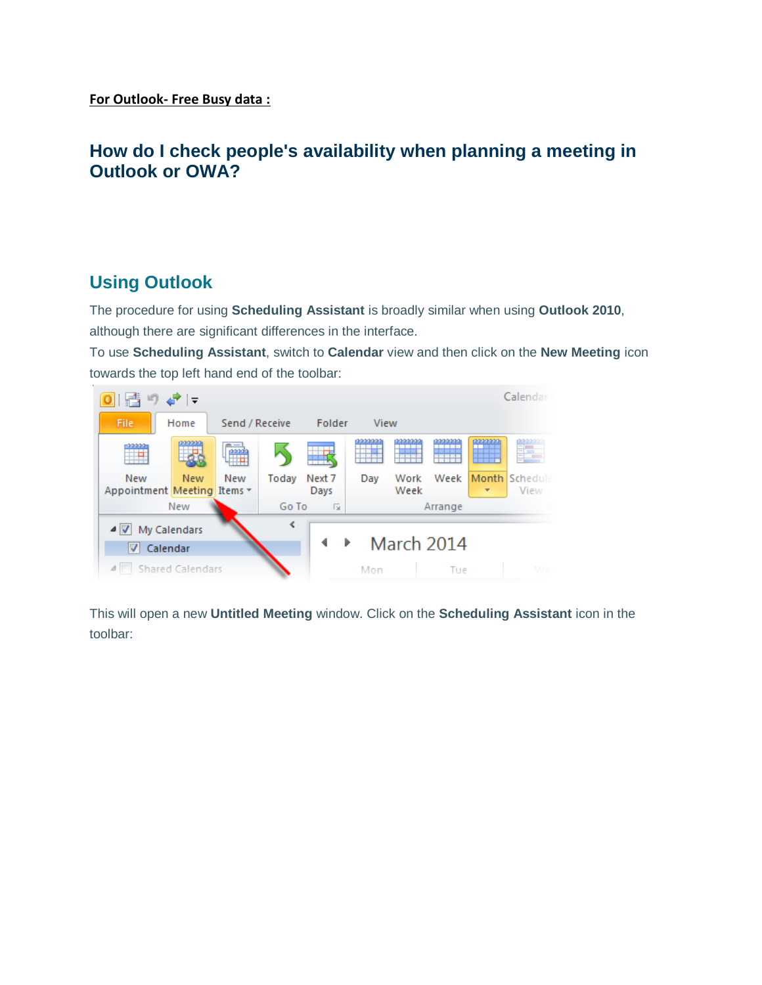## **How do I check people's availability when planning a meeting in Outlook or OWA?**

## **Using Outlook**

The procedure for using **Scheduling Assistant** is broadly similar when using **Outlook 2010**, although there are significant differences in the interface.

To use **Scheduling Assistant**, switch to **Calendar** view and then click on the **New Meeting** icon towards the top left hand end of the toolbar:



This will open a new **Untitled Meeting** window. Click on the **Scheduling Assistant** icon in the toolbar: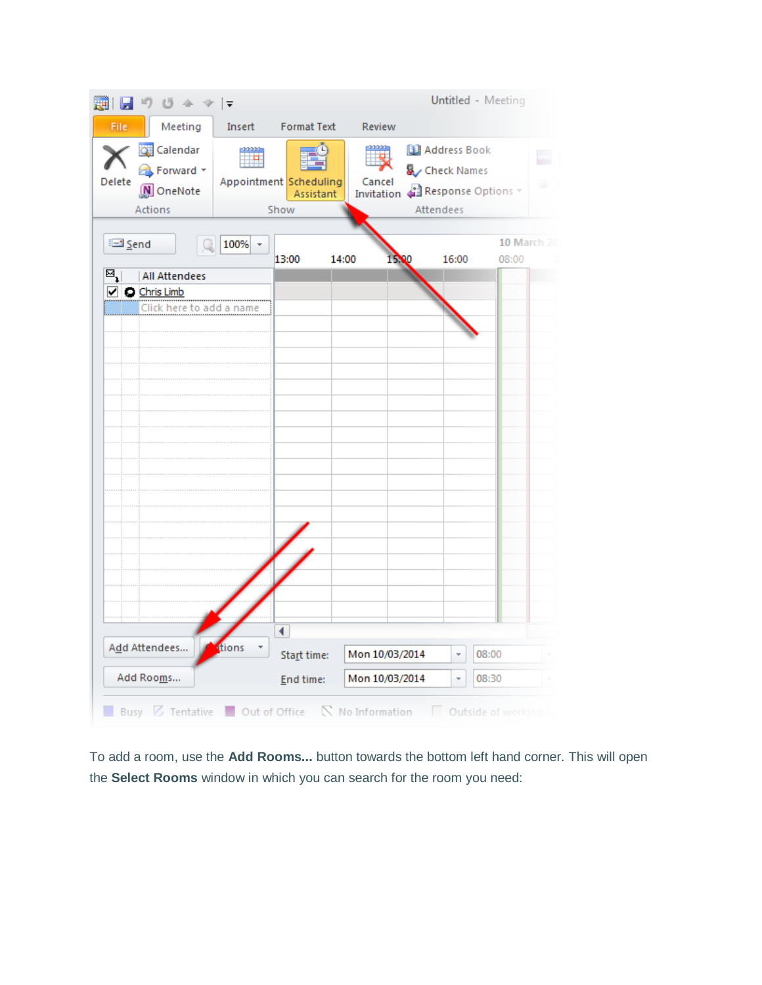

To add a room, use the **Add Rooms...** button towards the bottom left hand corner. This will open the **Select Rooms** window in which you can search for the room you need: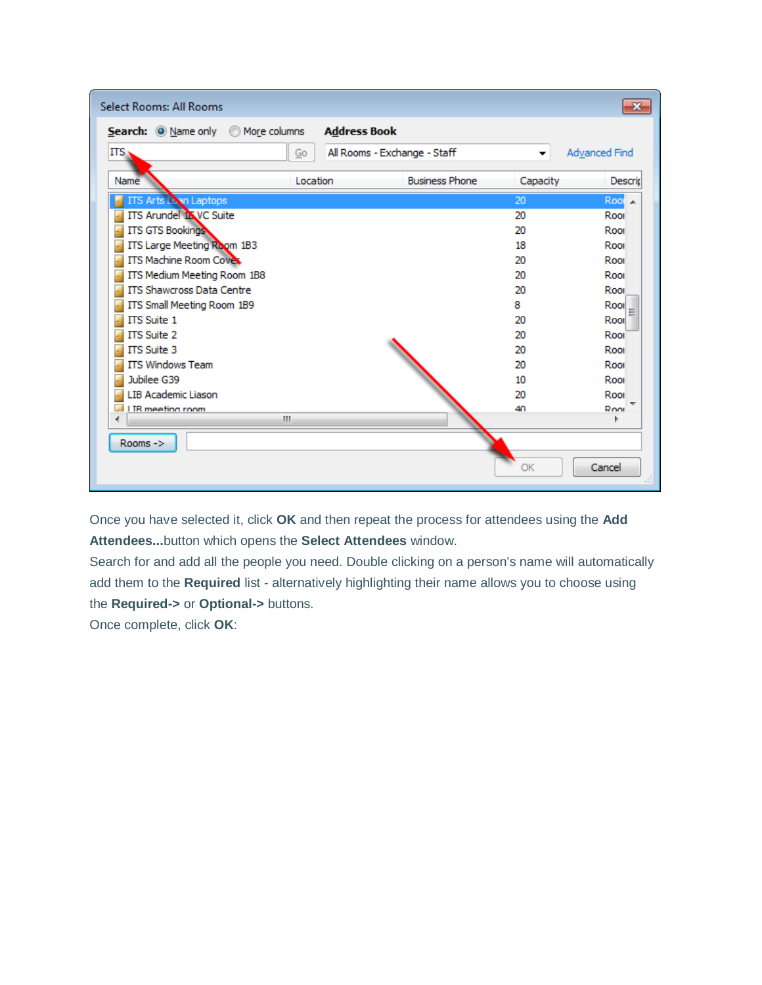| Select Rooms: All Rooms          |                     |                              |          | $\mathbf{x}$     |
|----------------------------------|---------------------|------------------------------|----------|------------------|
| Search: O Name only More columns | <b>Address Book</b> |                              |          |                  |
| ITS.                             | Go                  | All Rooms - Exchange - Staff |          | Advanced Find    |
| Name                             | Location            | <b>Business Phone</b>        | Capacity | Descrip          |
| <b>ITS Arts Loon Laptops</b>     |                     |                              | 20       | $Root \triangle$ |
| <b>ITS Arundel 15 VC Suite</b>   |                     |                              | 20       | Root             |
| <b>ITS GTS Bookings</b>          |                     |                              | 20       | Root             |
| ITS Large Meeting Room 1B3       |                     |                              | 18       | Root             |
| <b>ITS Machine Room Coves</b>    |                     |                              | 20       | Root             |
| ITS Medium Meeting Room 1B8      |                     |                              | 20       | Root             |
| <b>ITS Shawcross Data Centre</b> |                     |                              | 20       | Root             |
| ITS Small Meeting Room 1B9       |                     |                              | 8        | Rool             |
| ITS Suite 1                      |                     |                              | 20       | Rool             |
| ITS Suite 2                      |                     |                              | 20       | Roor             |
| <b>ITS Suite 3</b>               |                     |                              | 20       | Root             |
| <b>ITS Windows Team</b>          |                     |                              | 20       | Root             |
| Jubilee G39                      |                     |                              | 10       | Root             |
| LIB Academic Liason              |                     |                              | 20       | Root             |
| LIB meeting room                 |                     |                              | 40       | Root             |
|                                  | m.                  |                              |          |                  |
| Rooms ->                         |                     |                              | OK       | Cancel           |

Once you have selected it, click **OK** and then repeat the process for attendees using the **Add Attendees...**button which opens the **Select Attendees** window.

Search for and add all the people you need. Double clicking on a person's name will automatically add them to the **Required** list - alternatively highlighting their name allows you to choose using the **Required->** or **Optional->** buttons.

Once complete, click **OK**: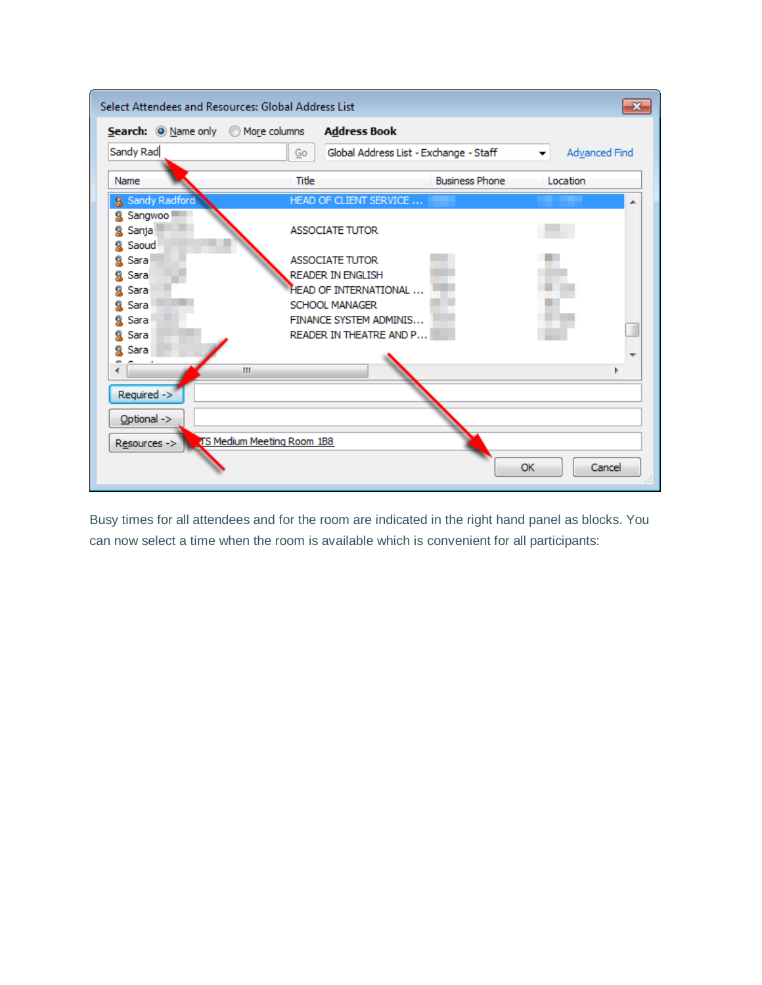|                                    | Select Attendees and Resources: Global Address List |                                        | $\mathbf{x}$       |  |  |  |  |  |
|------------------------------------|-----------------------------------------------------|----------------------------------------|--------------------|--|--|--|--|--|
| Search: O Name only O More columns | <b>Address Book</b>                                 |                                        |                    |  |  |  |  |  |
| Sandy Rad                          | Go                                                  | Global Address List - Exchange - Staff | Advanced Find<br>▼ |  |  |  |  |  |
| Name                               | Title                                               | <b>Business Phone</b>                  | Location           |  |  |  |  |  |
| & Sandy Radford                    | HEAD OF CLIENT SERVICE                              |                                        | ▴                  |  |  |  |  |  |
| Sangwoo<br>я<br>Sanja<br>Ω         | <b>ASSOCIATE TUTOR</b>                              |                                        |                    |  |  |  |  |  |
| Saoud<br>Sara                      | <b>ASSOCIATE TUTOR</b>                              |                                        |                    |  |  |  |  |  |
| Sara                               | <b>READER IN ENGLISH</b>                            |                                        |                    |  |  |  |  |  |
| Sara                               | <b>HEAD OF INTERNATIONAL </b>                       |                                        |                    |  |  |  |  |  |
| Sara                               | <b>SCHOOL MANAGER</b>                               |                                        |                    |  |  |  |  |  |
| Sara                               | FINANCE SYSTEM ADMINIS                              |                                        |                    |  |  |  |  |  |
| Sara                               | READER IN THEATRE AND P                             |                                        |                    |  |  |  |  |  |
| Sara                               |                                                     |                                        |                    |  |  |  |  |  |
|                                    | Ш                                                   |                                        |                    |  |  |  |  |  |
| Required ->                        |                                                     |                                        |                    |  |  |  |  |  |
| Optional ->                        |                                                     |                                        |                    |  |  |  |  |  |
| Resources ->                       | TS Medium Meeting Room 1B8                          |                                        |                    |  |  |  |  |  |
|                                    |                                                     |                                        | OK<br>Cancel<br>лî |  |  |  |  |  |

Busy times for all attendees and for the room are indicated in the right hand panel as blocks. You can now select a time when the room is available which is convenient for all participants: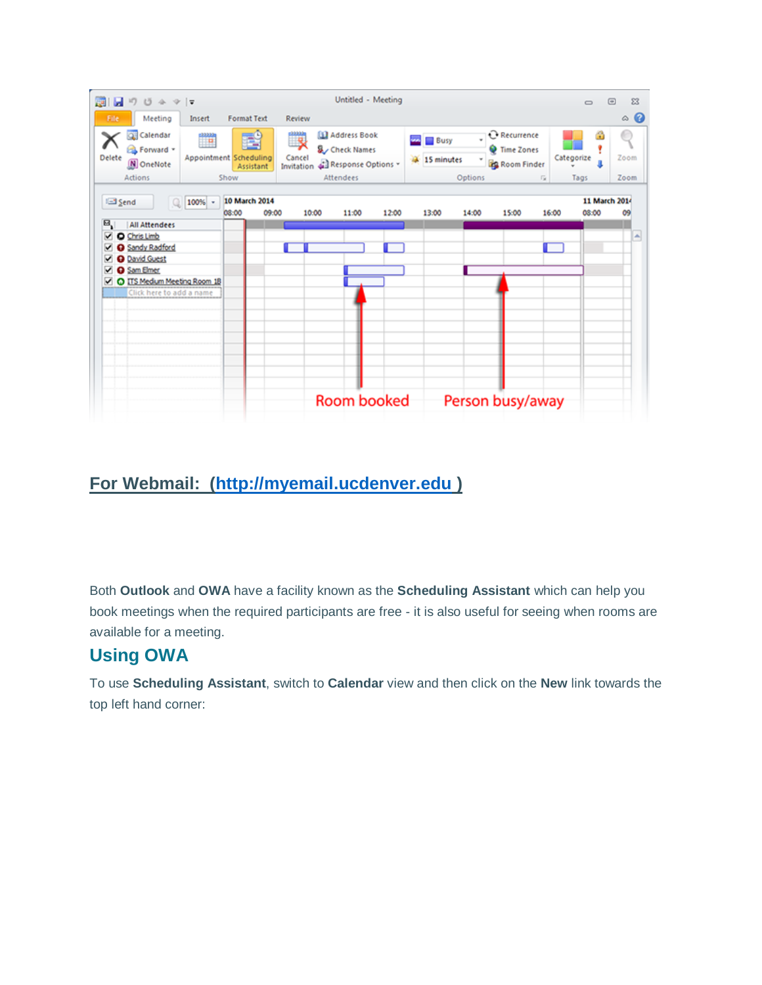

## **For Webmail: [\(http://myemail.ucdenver.edu](http://myemail.ucdenver.edu/) )**

Both **Outlook** and **OWA** have a facility known as the **Scheduling Assistant** which can help you book meetings when the required participants are free - it is also useful for seeing when rooms are available for a meeting.

## **Using OWA**

To use **Scheduling Assistant**, switch to **Calendar** view and then click on the **New** link towards the top left hand corner: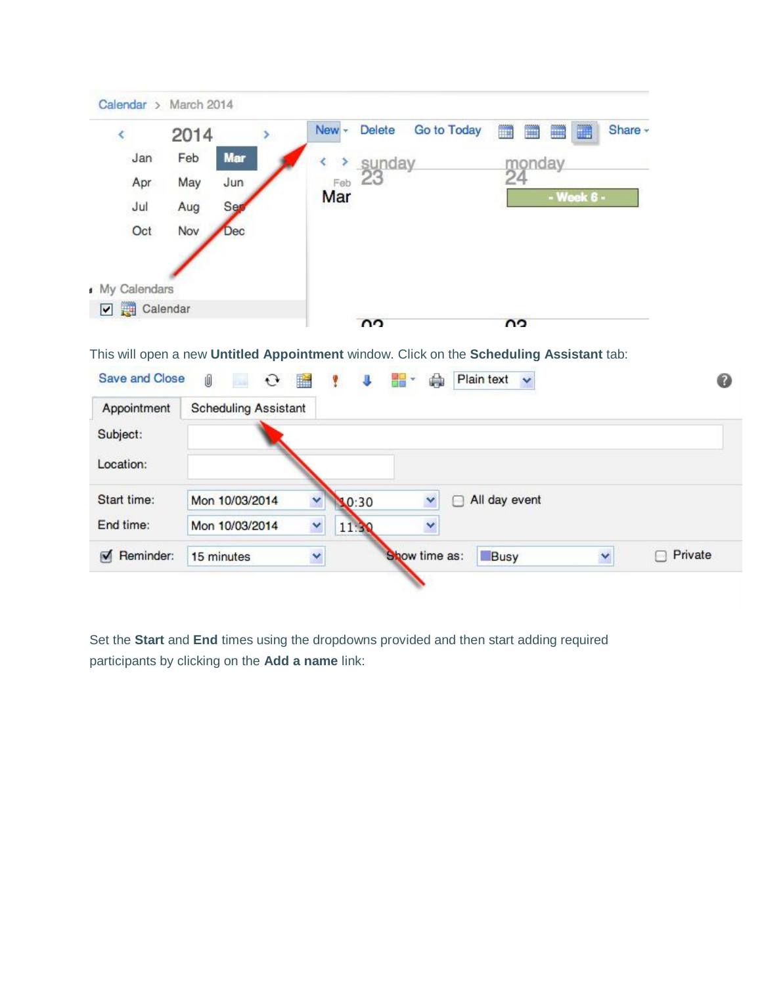| ∢            | 2014 |            | $New -$ | <b>Delete</b><br>Go to Today | ■<br>m<br>▦<br>Ħ | Share - |
|--------------|------|------------|---------|------------------------------|------------------|---------|
| Jan          | Feb  | Mar        |         | > sunday                     | monday           |         |
| Apr          | May  | Jun        | Feb     | 23                           | 24               |         |
| Jul          | Aug  | Ser        | Mar     |                              | - Week 6 -       |         |
| Oct          | Nov  | <b>Dec</b> |         |                              |                  |         |
|              |      |            |         |                              |                  |         |
| My Calendars |      |            |         |                              |                  |         |
| Calendar     |      |            |         | $\Omega$                     | ΩQ               |         |

This will open a new **Untitled Appointment** window. Click on the **Scheduling Assistant** tab:

| <b>Save and Close</b>       | Ú<br>$\mathbf{C}$ $\mathbf{R}$<br>bia. |   | $\overline{ }$ | <u> 대표</u> -  | ۵ | Plain text    | $\ddot{\mathbf{v}}$ |         |
|-----------------------------|----------------------------------------|---|----------------|---------------|---|---------------|---------------------|---------|
| Appointment                 | <b>Scheduling Assistant</b>            |   |                |               |   |               |                     |         |
| Subject:                    |                                        |   |                |               |   |               |                     |         |
| Location:                   |                                        |   |                |               |   |               |                     |         |
| Start time:                 | Mon 10/03/2014                         | ۷ | 0:30           |               | ∩ | All day event |                     |         |
| End time:                   | Mon 10/03/2014                         | Y | 11:3           | v             |   |               |                     |         |
| Reminder:<br>$\blacksquare$ | 15 minutes                             | × |                | Show time as: |   | Busy          |                     | Private |
|                             |                                        |   |                |               |   |               |                     |         |

Set the **Start** and **End** times using the dropdowns provided and then start adding required participants by clicking on the **Add a name** link: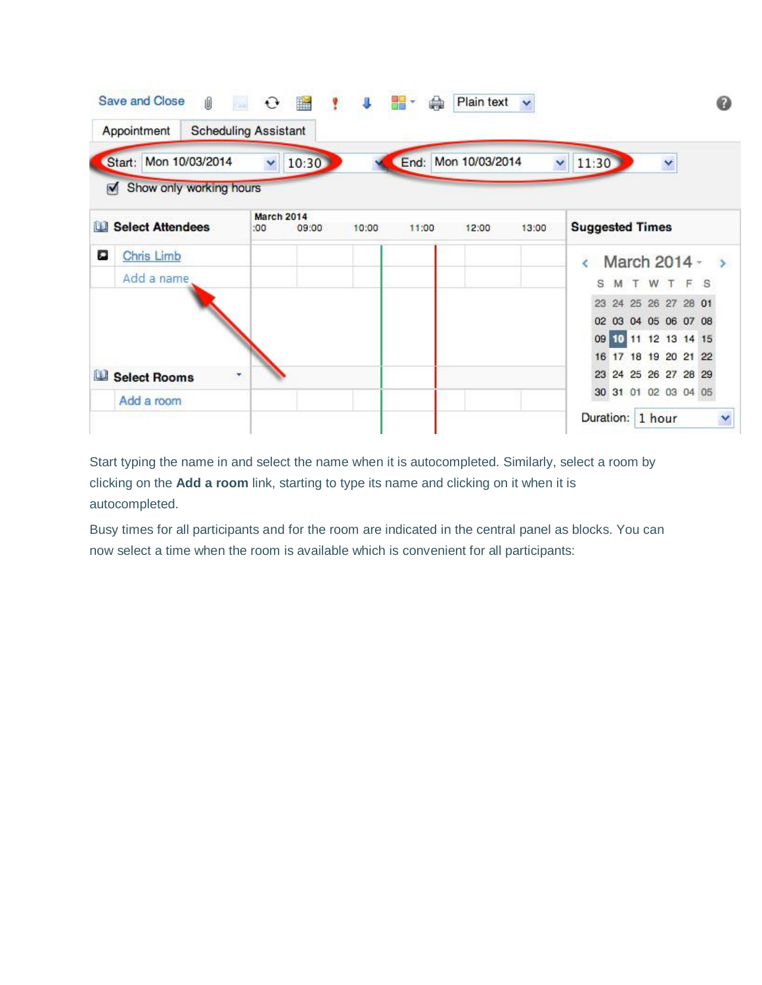|                                                     |                             | 謡<br>$\mathbf{C}$ | $\overline{1}$<br><b>P</b> | 물물    | Plain text          | v     |                                              |
|-----------------------------------------------------|-----------------------------|-------------------|----------------------------|-------|---------------------|-------|----------------------------------------------|
| Appointment                                         | <b>Scheduling Assistant</b> |                   |                            |       |                     |       |                                              |
| Start: Mon 10/03/2014                               | Y                           | 10:30             |                            |       | End: Mon 10/03/2014 |       | 11:30<br>×<br>Y                              |
| Show only working hours<br>$\overline{\phantom{a}}$ |                             |                   |                            |       |                     |       |                                              |
| <b>Select Attendees</b><br>图:                       | <b>March 2014</b><br>:00    | 09:00             | 10:00                      | 11:00 | 12:00               | 13:00 | <b>Suggested Times</b>                       |
| ۰<br>Chris Limb                                     |                             |                   |                            |       |                     |       | March 2014 -<br>$\rightarrow$                |
| Add a name                                          |                             |                   |                            |       |                     |       | MTWTFS<br>s                                  |
|                                                     |                             |                   |                            |       |                     |       | 24 25 26 27 28 01<br>23                      |
|                                                     |                             |                   |                            |       |                     |       | 02 03 04 05 06 07 08                         |
|                                                     |                             |                   |                            |       |                     |       | 09 10 11 12 13 14 15<br>16 17 18 19 20 21 22 |
| L <sub>1</sub><br><b>Select Rooms</b>               | v,                          |                   |                            |       |                     |       | 23 24 25 26 27 28 29                         |
|                                                     |                             |                   |                            |       |                     |       | 30 31 01 02 03 04 05                         |
| Add a room                                          |                             |                   |                            |       |                     |       | Duration: 1 hour                             |

Start typing the name in and select the name when it is autocompleted. Similarly, select a room by clicking on the **Add a room** link, starting to type its name and clicking on it when it is autocompleted.

Busy times for all participants and for the room are indicated in the central panel as blocks. You can now select a time when the room is available which is convenient for all participants: